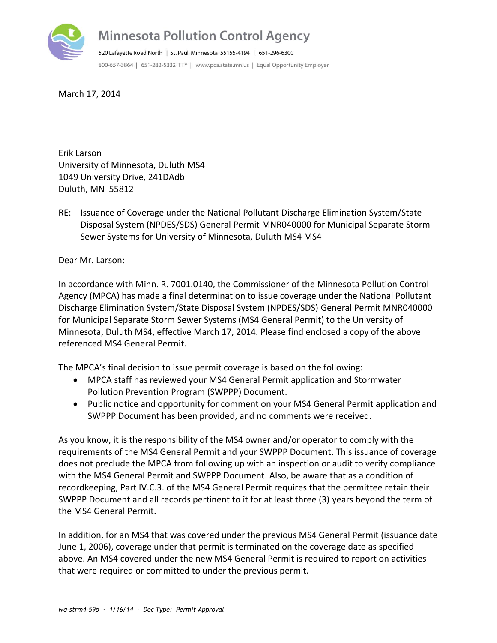

March 17, 2014

Erik Larson University of Minnesota, Duluth MS4 1049 University Drive, 241DAdb Duluth, MN 55812

RE: Issuance of Coverage under the National Pollutant Discharge Elimination System/State Disposal System (NPDES/SDS) General Permit MNR040000 for Municipal Separate Storm Sewer Systems for University of Minnesota, Duluth MS4 MS4

Dear Mr. Larson:

In accordance with Minn. R. 7001.0140, the Commissioner of the Minnesota Pollution Control Agency (MPCA) has made a final determination to issue coverage under the National Pollutant Discharge Elimination System/State Disposal System (NPDES/SDS) General Permit MNR040000 for Municipal Separate Storm Sewer Systems (MS4 General Permit) to the University of Minnesota, Duluth MS4, effective March 17, 2014. Please find enclosed a copy of the above referenced MS4 General Permit.

The MPCA's final decision to issue permit coverage is based on the following:

- MPCA staff has reviewed your MS4 General Permit application and Stormwater Pollution Prevention Program (SWPPP) Document.
- Public notice and opportunity for comment on your MS4 General Permit application and SWPPP Document has been provided, and no comments were received.

As you know, it is the responsibility of the MS4 owner and/or operator to comply with the requirements of the MS4 General Permit and your SWPPP Document. This issuance of coverage does not preclude the MPCA from following up with an inspection or audit to verify compliance with the MS4 General Permit and SWPPP Document. Also, be aware that as a condition of recordkeeping, Part IV.C.3. of the MS4 General Permit requires that the permittee retain their SWPPP Document and all records pertinent to it for at least three (3) years beyond the term of the MS4 General Permit.

In addition, for an MS4 that was covered under the previous MS4 General Permit (issuance date June 1, 2006), coverage under that permit is terminated on the coverage date as specified above. An MS4 covered under the new MS4 General Permit is required to report on activities that were required or committed to under the previous permit.